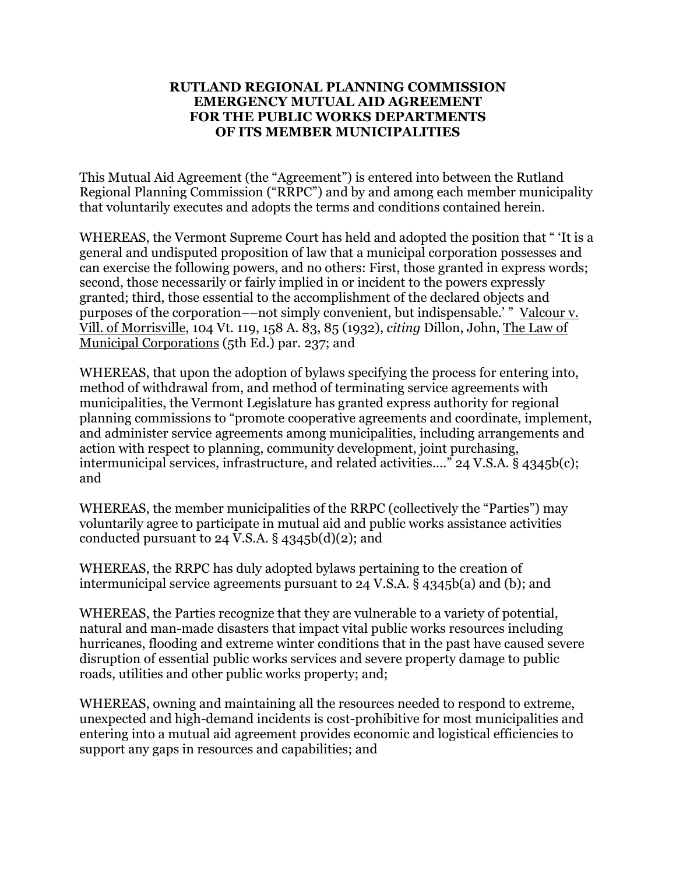#### **RUTLAND REGIONAL PLANNING COMMISSION EMERGENCY MUTUAL AID AGREEMENT FOR THE PUBLIC WORKS DEPARTMENTS OF ITS MEMBER MUNICIPALITIES**

This Mutual Aid Agreement (the "Agreement") is entered into between the Rutland Regional Planning Commission ("RRPC") and by and among each member municipality that voluntarily executes and adopts the terms and conditions contained herein.

WHEREAS, the Vermont Supreme Court has held and adopted the position that " 'It is a general and undisputed proposition of law that a municipal corporation possesses and can exercise the following powers, and no others: First, those granted in express words; second, those necessarily or fairly implied in or incident to the powers expressly granted; third, those essential to the accomplishment of the declared objects and purposes of the corporation—–not simply convenient, but indispensable.' " Valcour v. Vill. of Morrisville, 104 Vt. 119, 158 A. 83, 85 (1932), *citing* Dillon, John, The Law of Municipal Corporations (5th Ed.) par. 237; and

WHEREAS, that upon the adoption of bylaws specifying the process for entering into, method of withdrawal from, and method of terminating service agreements with municipalities, the Vermont Legislature has granted express authority for regional planning commissions to "promote cooperative agreements and coordinate, implement, and administer service agreements among municipalities, including arrangements and action with respect to planning, community development, joint purchasing, intermunicipal services, infrastructure, and related activities…." 24 V.S.A. § 4345b(c); and

WHEREAS, the member municipalities of the RRPC (collectively the "Parties") may voluntarily agree to participate in mutual aid and public works assistance activities conducted pursuant to 24 V.S.A.  $\S$  4345b(d)(2); and

WHEREAS, the RRPC has duly adopted bylaws pertaining to the creation of intermunicipal service agreements pursuant to 24 V.S.A. § 4345b(a) and (b); and

WHEREAS, the Parties recognize that they are vulnerable to a variety of potential, natural and man-made disasters that impact vital public works resources including hurricanes, flooding and extreme winter conditions that in the past have caused severe disruption of essential public works services and severe property damage to public roads, utilities and other public works property; and;

WHEREAS, owning and maintaining all the resources needed to respond to extreme, unexpected and high-demand incidents is cost-prohibitive for most municipalities and entering into a mutual aid agreement provides economic and logistical efficiencies to support any gaps in resources and capabilities; and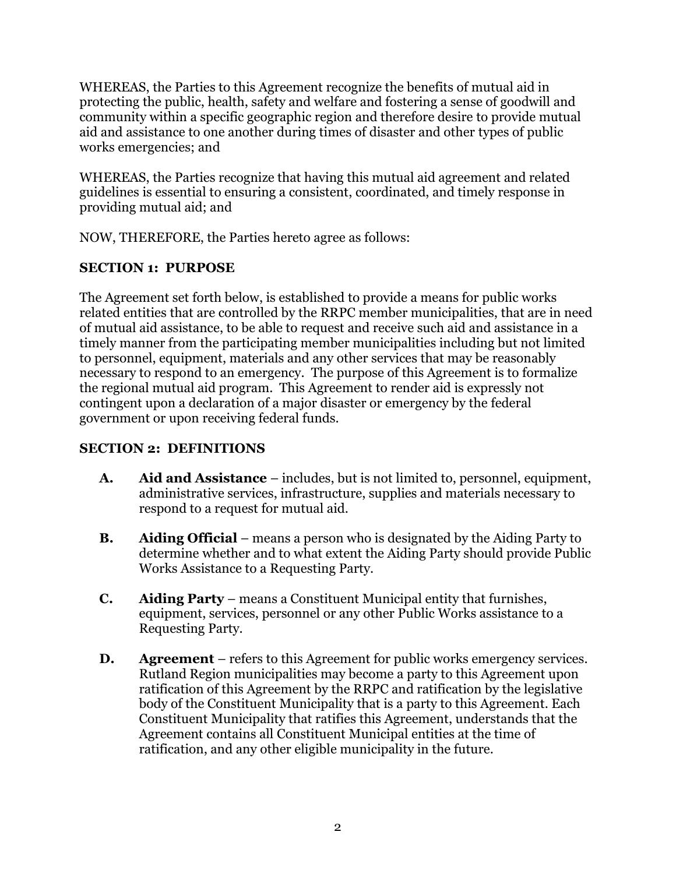WHEREAS, the Parties to this Agreement recognize the benefits of mutual aid in protecting the public, health, safety and welfare and fostering a sense of goodwill and community within a specific geographic region and therefore desire to provide mutual aid and assistance to one another during times of disaster and other types of public works emergencies; and

WHEREAS, the Parties recognize that having this mutual aid agreement and related guidelines is essential to ensuring a consistent, coordinated, and timely response in providing mutual aid; and

NOW, THEREFORE, the Parties hereto agree as follows:

# **SECTION 1: PURPOSE**

The Agreement set forth below, is established to provide a means for public works related entities that are controlled by the RRPC member municipalities, that are in need of mutual aid assistance, to be able to request and receive such aid and assistance in a timely manner from the participating member municipalities including but not limited to personnel, equipment, materials and any other services that may be reasonably necessary to respond to an emergency. The purpose of this Agreement is to formalize the regional mutual aid program. This Agreement to render aid is expressly not contingent upon a declaration of a major disaster or emergency by the federal government or upon receiving federal funds.

# **SECTION 2: DEFINITIONS**

- **A. Aid and Assistance** includes, but is not limited to, personnel, equipment, administrative services, infrastructure, supplies and materials necessary to respond to a request for mutual aid.
- **B. Aiding Official** means a person who is designated by the Aiding Party to determine whether and to what extent the Aiding Party should provide Public Works Assistance to a Requesting Party.
- **C. Aiding Party** means a Constituent Municipal entity that furnishes, equipment, services, personnel or any other Public Works assistance to a Requesting Party.
- **D. Agreement**  refers to this Agreement for public works emergency services. Rutland Region municipalities may become a party to this Agreement upon ratification of this Agreement by the RRPC and ratification by the legislative body of the Constituent Municipality that is a party to this Agreement. Each Constituent Municipality that ratifies this Agreement, understands that the Agreement contains all Constituent Municipal entities at the time of ratification, and any other eligible municipality in the future.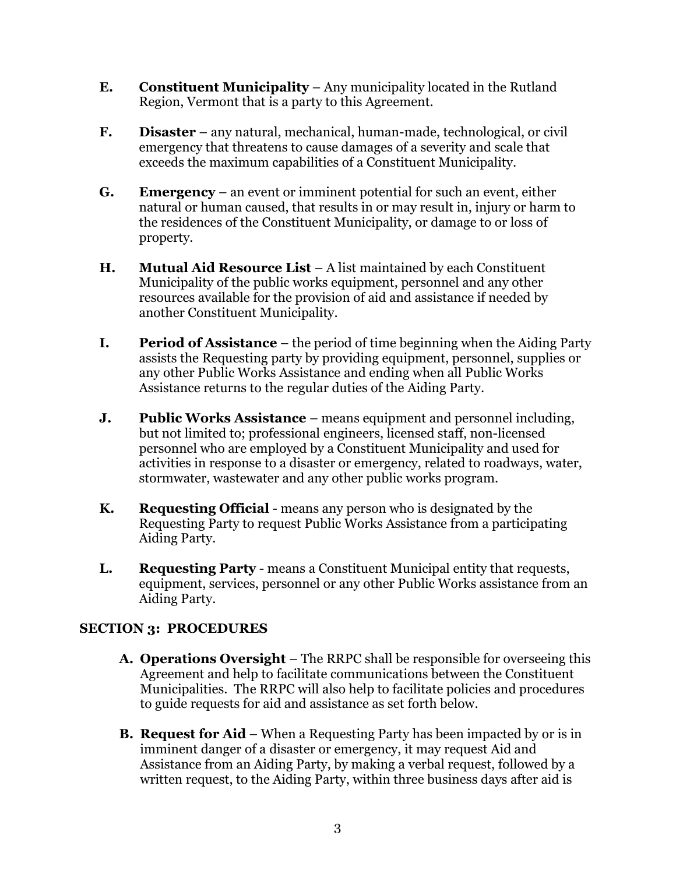- **E. Constituent Municipality**  Any municipality located in the Rutland Region, Vermont that is a party to this Agreement.
- **F. Disaster** any natural, mechanical, human-made, technological, or civil emergency that threatens to cause damages of a severity and scale that exceeds the maximum capabilities of a Constituent Municipality.
- **G. Emergency** an event or imminent potential for such an event, either natural or human caused, that results in or may result in, injury or harm to the residences of the Constituent Municipality, or damage to or loss of property.
- **H. Mutual Aid Resource List** A list maintained by each Constituent Municipality of the public works equipment, personnel and any other resources available for the provision of aid and assistance if needed by another Constituent Municipality.
- **I. Period of Assistance**  the period of time beginning when the Aiding Party assists the Requesting party by providing equipment, personnel, supplies or any other Public Works Assistance and ending when all Public Works Assistance returns to the regular duties of the Aiding Party.
- **J. Public Works Assistance**  means equipment and personnel including, but not limited to; professional engineers, licensed staff, non-licensed personnel who are employed by a Constituent Municipality and used for activities in response to a disaster or emergency, related to roadways, water, stormwater, wastewater and any other public works program.
- **K. Requesting Official** means any person who is designated by the Requesting Party to request Public Works Assistance from a participating Aiding Party.
- **L. Requesting Party** means a Constituent Municipal entity that requests, equipment, services, personnel or any other Public Works assistance from an Aiding Party.

# **SECTION 3: PROCEDURES**

- **A. Operations Oversight**  The RRPC shall be responsible for overseeing this Agreement and help to facilitate communications between the Constituent Municipalities. The RRPC will also help to facilitate policies and procedures to guide requests for aid and assistance as set forth below.
- **B. Request for Aid** When a Requesting Party has been impacted by or is in imminent danger of a disaster or emergency, it may request Aid and Assistance from an Aiding Party, by making a verbal request, followed by a written request, to the Aiding Party, within three business days after aid is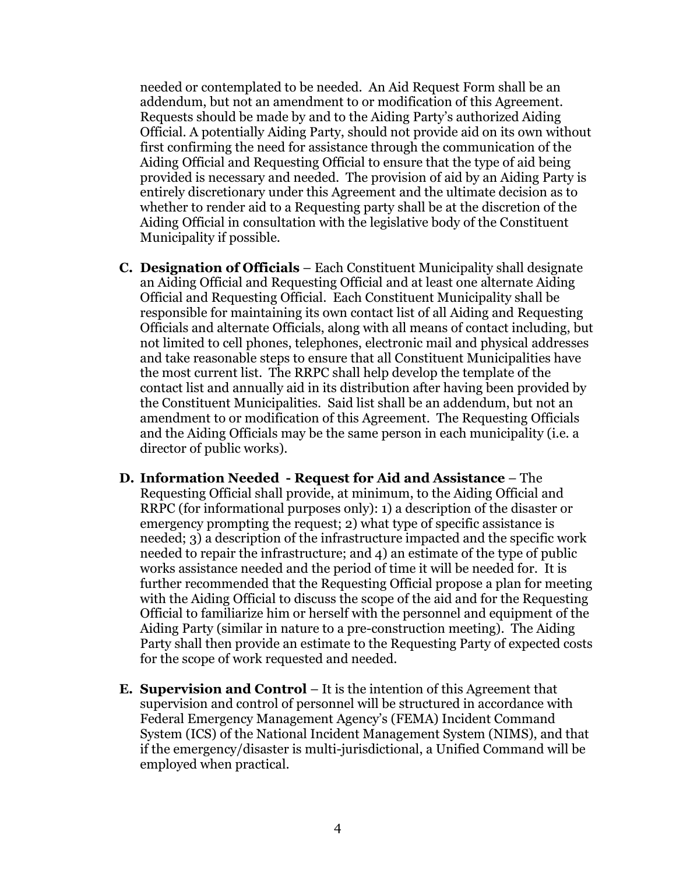needed or contemplated to be needed. An Aid Request Form shall be an addendum, but not an amendment to or modification of this Agreement. Requests should be made by and to the Aiding Party's authorized Aiding Official. A potentially Aiding Party, should not provide aid on its own without first confirming the need for assistance through the communication of the Aiding Official and Requesting Official to ensure that the type of aid being provided is necessary and needed. The provision of aid by an Aiding Party is entirely discretionary under this Agreement and the ultimate decision as to whether to render aid to a Requesting party shall be at the discretion of the Aiding Official in consultation with the legislative body of the Constituent Municipality if possible.

- **C. Designation of Officials** Each Constituent Municipality shall designate an Aiding Official and Requesting Official and at least one alternate Aiding Official and Requesting Official. Each Constituent Municipality shall be responsible for maintaining its own contact list of all Aiding and Requesting Officials and alternate Officials, along with all means of contact including, but not limited to cell phones, telephones, electronic mail and physical addresses and take reasonable steps to ensure that all Constituent Municipalities have the most current list. The RRPC shall help develop the template of the contact list and annually aid in its distribution after having been provided by the Constituent Municipalities. Said list shall be an addendum, but not an amendment to or modification of this Agreement. The Requesting Officials and the Aiding Officials may be the same person in each municipality (i.e. a director of public works).
- **D. Information Needed - Request for Aid and Assistance** The Requesting Official shall provide, at minimum, to the Aiding Official and RRPC (for informational purposes only): 1) a description of the disaster or emergency prompting the request; 2) what type of specific assistance is needed; 3) a description of the infrastructure impacted and the specific work needed to repair the infrastructure; and 4) an estimate of the type of public works assistance needed and the period of time it will be needed for. It is further recommended that the Requesting Official propose a plan for meeting with the Aiding Official to discuss the scope of the aid and for the Requesting Official to familiarize him or herself with the personnel and equipment of the Aiding Party (similar in nature to a pre-construction meeting). The Aiding Party shall then provide an estimate to the Requesting Party of expected costs for the scope of work requested and needed.
- **E. Supervision and Control** It is the intention of this Agreement that supervision and control of personnel will be structured in accordance with Federal Emergency Management Agency's (FEMA) Incident Command System (ICS) of the National Incident Management System (NIMS), and that if the emergency/disaster is multi-jurisdictional, a Unified Command will be employed when practical.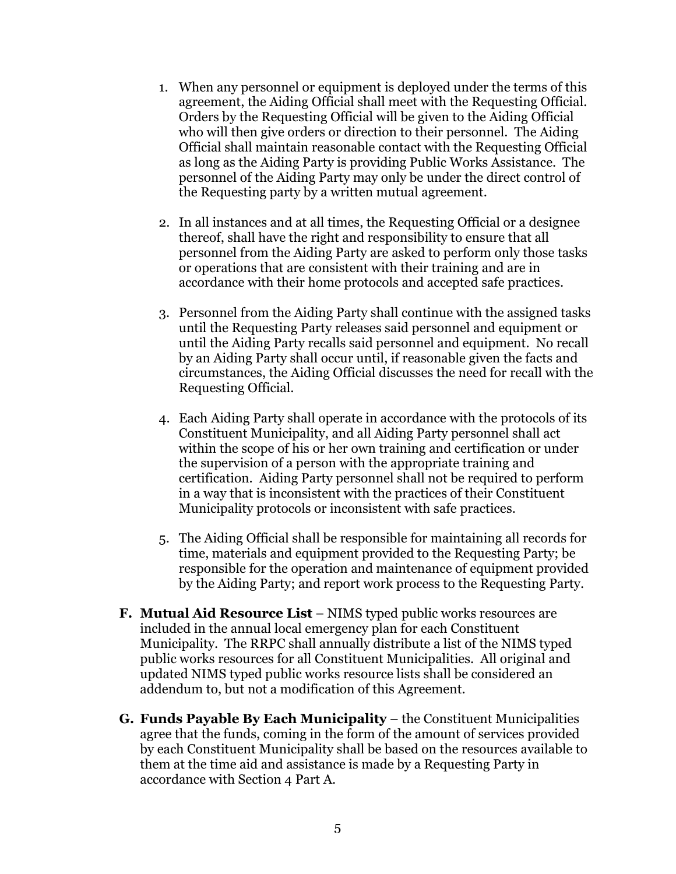- 1. When any personnel or equipment is deployed under the terms of this agreement, the Aiding Official shall meet with the Requesting Official. Orders by the Requesting Official will be given to the Aiding Official who will then give orders or direction to their personnel. The Aiding Official shall maintain reasonable contact with the Requesting Official as long as the Aiding Party is providing Public Works Assistance. The personnel of the Aiding Party may only be under the direct control of the Requesting party by a written mutual agreement.
- 2. In all instances and at all times, the Requesting Official or a designee thereof, shall have the right and responsibility to ensure that all personnel from the Aiding Party are asked to perform only those tasks or operations that are consistent with their training and are in accordance with their home protocols and accepted safe practices.
- 3. Personnel from the Aiding Party shall continue with the assigned tasks until the Requesting Party releases said personnel and equipment or until the Aiding Party recalls said personnel and equipment. No recall by an Aiding Party shall occur until, if reasonable given the facts and circumstances, the Aiding Official discusses the need for recall with the Requesting Official.
- 4. Each Aiding Party shall operate in accordance with the protocols of its Constituent Municipality, and all Aiding Party personnel shall act within the scope of his or her own training and certification or under the supervision of a person with the appropriate training and certification. Aiding Party personnel shall not be required to perform in a way that is inconsistent with the practices of their Constituent Municipality protocols or inconsistent with safe practices.
- 5. The Aiding Official shall be responsible for maintaining all records for time, materials and equipment provided to the Requesting Party; be responsible for the operation and maintenance of equipment provided by the Aiding Party; and report work process to the Requesting Party.
- **F. Mutual Aid Resource List** NIMS typed public works resources are included in the annual local emergency plan for each Constituent Municipality. The RRPC shall annually distribute a list of the NIMS typed public works resources for all Constituent Municipalities. All original and updated NIMS typed public works resource lists shall be considered an addendum to, but not a modification of this Agreement.
- **G. Funds Payable By Each Municipality** the Constituent Municipalities agree that the funds, coming in the form of the amount of services provided by each Constituent Municipality shall be based on the resources available to them at the time aid and assistance is made by a Requesting Party in accordance with Section 4 Part A.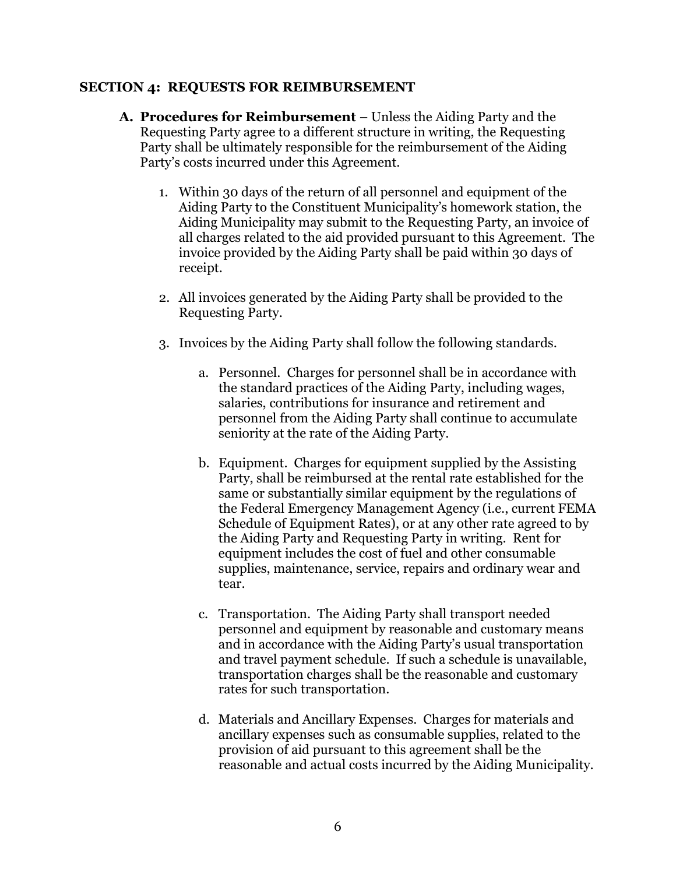#### **SECTION 4: REQUESTS FOR REIMBURSEMENT**

- **A. Procedures for Reimbursement**  Unless the Aiding Party and the Requesting Party agree to a different structure in writing, the Requesting Party shall be ultimately responsible for the reimbursement of the Aiding Party's costs incurred under this Agreement.
	- 1. Within 30 days of the return of all personnel and equipment of the Aiding Party to the Constituent Municipality's homework station, the Aiding Municipality may submit to the Requesting Party, an invoice of all charges related to the aid provided pursuant to this Agreement. The invoice provided by the Aiding Party shall be paid within 30 days of receipt.
	- 2. All invoices generated by the Aiding Party shall be provided to the Requesting Party.
	- 3. Invoices by the Aiding Party shall follow the following standards.
		- a. Personnel. Charges for personnel shall be in accordance with the standard practices of the Aiding Party, including wages, salaries, contributions for insurance and retirement and personnel from the Aiding Party shall continue to accumulate seniority at the rate of the Aiding Party.
		- b. Equipment. Charges for equipment supplied by the Assisting Party, shall be reimbursed at the rental rate established for the same or substantially similar equipment by the regulations of the Federal Emergency Management Agency (i.e., current FEMA Schedule of Equipment Rates), or at any other rate agreed to by the Aiding Party and Requesting Party in writing. Rent for equipment includes the cost of fuel and other consumable supplies, maintenance, service, repairs and ordinary wear and tear.
		- c. Transportation. The Aiding Party shall transport needed personnel and equipment by reasonable and customary means and in accordance with the Aiding Party's usual transportation and travel payment schedule. If such a schedule is unavailable, transportation charges shall be the reasonable and customary rates for such transportation.
		- d. Materials and Ancillary Expenses. Charges for materials and ancillary expenses such as consumable supplies, related to the provision of aid pursuant to this agreement shall be the reasonable and actual costs incurred by the Aiding Municipality.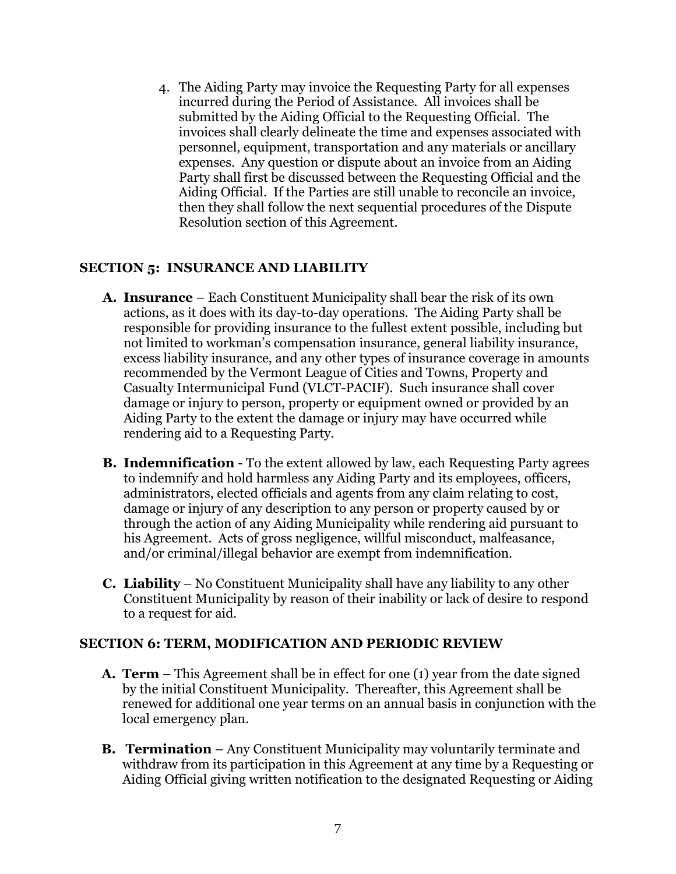4. The Aiding Party may invoice the Requesting Party for all expenses incurred during the Period of Assistance. All invoices shall be submitted by the Aiding Official to the Requesting Official. The invoices shall clearly delineate the time and expenses associated with personnel, equipment, transportation and any materials or ancillary expenses. Any question or dispute about an invoice from an Aiding Party shall first be discussed between the Requesting Official and the Aiding Official. If the Parties are still unable to reconcile an invoice, then they shall follow the next sequential procedures of the Dispute Resolution section of this Agreement.

#### **SECTION 5: INSURANCE AND LIABILITY**

- **A. Insurance** Each Constituent Municipality shall bear the risk of its own actions, as it does with its day-to-day operations. The Aiding Party shall be responsible for providing insurance to the fullest extent possible, including but not limited to workman's compensation insurance, general liability insurance, excess liability insurance, and any other types of insurance coverage in amounts recommended by the Vermont League of Cities and Towns, Property and Casualty Intermunicipal Fund (VLCT-PACIF). Such insurance shall cover damage or injury to person, property or equipment owned or provided by an Aiding Party to the extent the damage or injury may have occurred while rendering aid to a Requesting Party.
- **B. Indemnification**  To the extent allowed by law, each Requesting Party agrees to indemnify and hold harmless any Aiding Party and its employees, officers, administrators, elected officials and agents from any claim relating to cost, damage or injury of any description to any person or property caused by or through the action of any Aiding Municipality while rendering aid pursuant to his Agreement. Acts of gross negligence, willful misconduct, malfeasance, and/or criminal/illegal behavior are exempt from indemnification.
- **C. Liability** No Constituent Municipality shall have any liability to any other Constituent Municipality by reason of their inability or lack of desire to respond to a request for aid.

#### **SECTION 6: TERM, MODIFICATION AND PERIODIC REVIEW**

- **A. Term** This Agreement shall be in effect for one (1) year from the date signed by the initial Constituent Municipality. Thereafter, this Agreement shall be renewed for additional one year terms on an annual basis in conjunction with the local emergency plan.
- **B. Termination** Any Constituent Municipality may voluntarily terminate and withdraw from its participation in this Agreement at any time by a Requesting or Aiding Official giving written notification to the designated Requesting or Aiding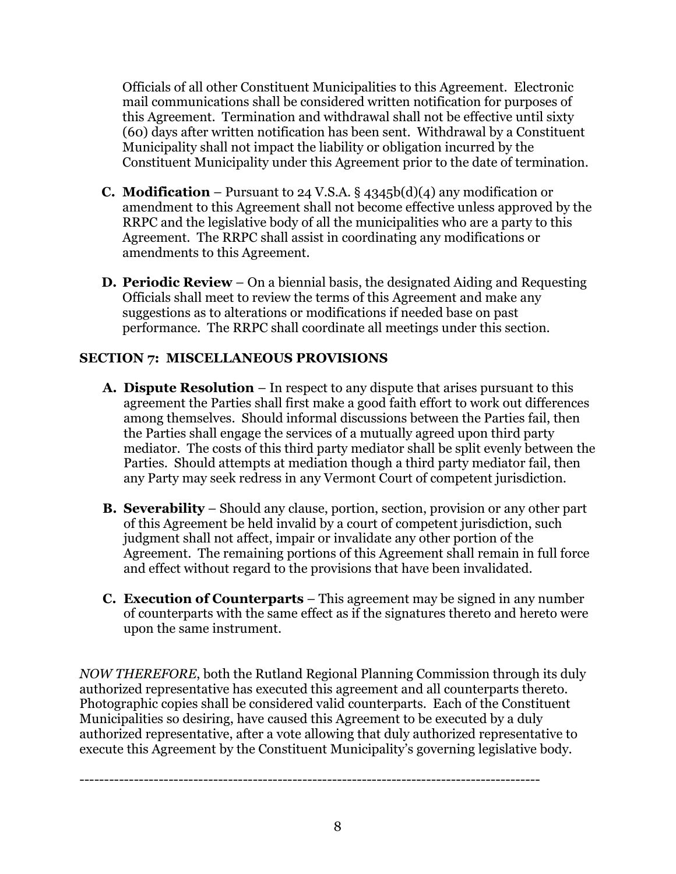Officials of all other Constituent Municipalities to this Agreement. Electronic mail communications shall be considered written notification for purposes of this Agreement. Termination and withdrawal shall not be effective until sixty (60) days after written notification has been sent. Withdrawal by a Constituent Municipality shall not impact the liability or obligation incurred by the Constituent Municipality under this Agreement prior to the date of termination.

- **C. Modification**  Pursuant to 24 V.S.A. § 4345b(d)(4) any modification or amendment to this Agreement shall not become effective unless approved by the RRPC and the legislative body of all the municipalities who are a party to this Agreement. The RRPC shall assist in coordinating any modifications or amendments to this Agreement.
- **D. Periodic Review** On a biennial basis, the designated Aiding and Requesting Officials shall meet to review the terms of this Agreement and make any suggestions as to alterations or modifications if needed base on past performance. The RRPC shall coordinate all meetings under this section.

### **SECTION 7: MISCELLANEOUS PROVISIONS**

- **A. Dispute Resolution**  In respect to any dispute that arises pursuant to this agreement the Parties shall first make a good faith effort to work out differences among themselves. Should informal discussions between the Parties fail, then the Parties shall engage the services of a mutually agreed upon third party mediator. The costs of this third party mediator shall be split evenly between the Parties. Should attempts at mediation though a third party mediator fail, then any Party may seek redress in any Vermont Court of competent jurisdiction.
- **B. Severability** Should any clause, portion, section, provision or any other part of this Agreement be held invalid by a court of competent jurisdiction, such judgment shall not affect, impair or invalidate any other portion of the Agreement. The remaining portions of this Agreement shall remain in full force and effect without regard to the provisions that have been invalidated.
- **C. Execution of Counterparts** This agreement may be signed in any number of counterparts with the same effect as if the signatures thereto and hereto were upon the same instrument.

*NOW THEREFORE*, both the Rutland Regional Planning Commission through its duly authorized representative has executed this agreement and all counterparts thereto. Photographic copies shall be considered valid counterparts. Each of the Constituent Municipalities so desiring, have caused this Agreement to be executed by a duly authorized representative, after a vote allowing that duly authorized representative to execute this Agreement by the Constituent Municipality's governing legislative body.

---------------------------------------------------------------------------------------------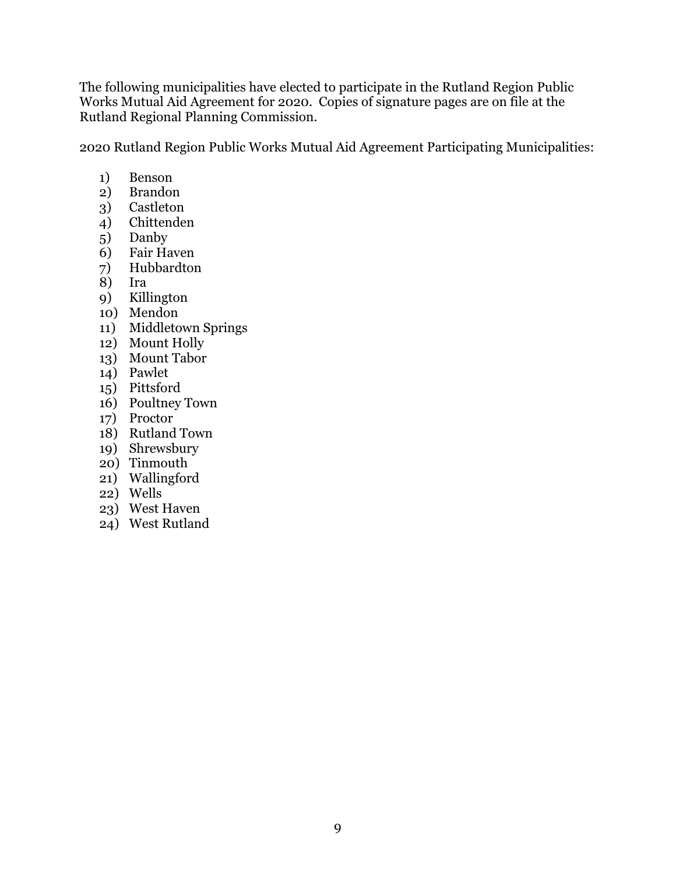The following municipalities have elected to participate in the Rutland Region Public Works Mutual Aid Agreement for 2020. Copies of signature pages are on file at the Rutland Regional Planning Commission.

2020 Rutland Region Public Works Mutual Aid Agreement Participating Municipalities:

- 1) Benson
- 2) Brandon
- 3) Castleton<br>4) Chittender
- 4) Chittenden
- 5) Danby
- 6) Fair Haven
- 7) Hubbardton
- 8) Ira
- 9) Killington
- 10) Mendon
- 11) Middletown Springs
- 12) Mount Holly
- 13) Mount Tabor
- 14) Pawlet
- 15) Pittsford
- 16) Poultney Town
- 17) Proctor
- 18) Rutland Town
- 19) Shrewsbury
- 20) Tinmouth
- 21) Wallingford
- 22) Wells
- 23) West Haven
- 24) West Rutland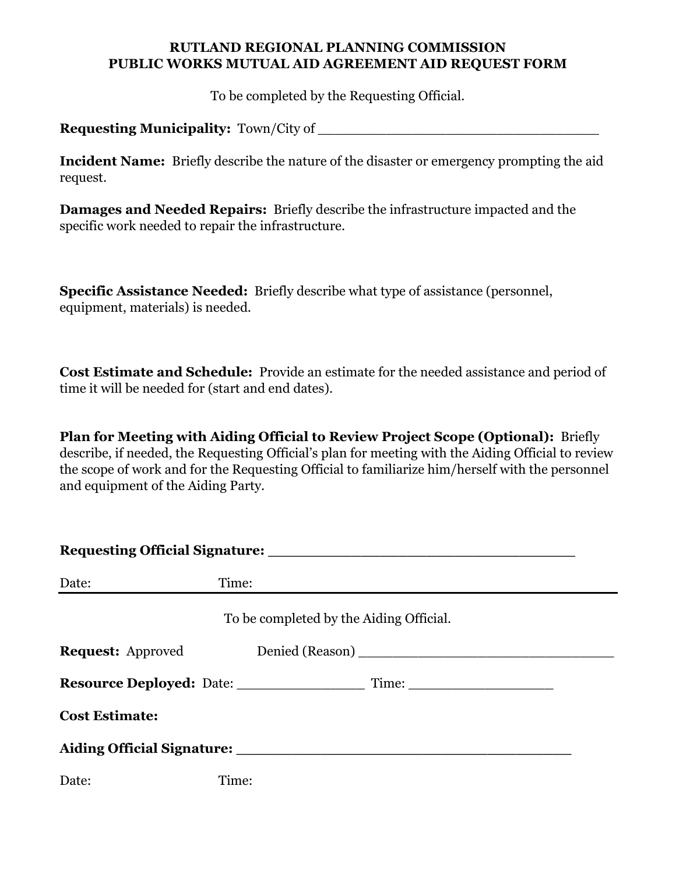#### **RUTLAND REGIONAL PLANNING COMMISSION PUBLIC WORKS MUTUAL AID AGREEMENT AID REQUEST FORM**

To be completed by the Requesting Official.

**Requesting Municipality:** Town/City of \_\_\_\_\_\_\_\_\_\_\_\_\_\_\_\_\_\_\_\_\_\_\_\_\_\_\_\_\_\_\_\_\_

**Incident Name:** Briefly describe the nature of the disaster or emergency prompting the aid request.

**Damages and Needed Repairs:** Briefly describe the infrastructure impacted and the specific work needed to repair the infrastructure.

**Specific Assistance Needed:** Briefly describe what type of assistance (personnel, equipment, materials) is needed.

**Cost Estimate and Schedule:** Provide an estimate for the needed assistance and period of time it will be needed for (start and end dates).

**Plan for Meeting with Aiding Official to Review Project Scope (Optional):** Briefly describe, if needed, the Requesting Official's plan for meeting with the Aiding Official to review the scope of work and for the Requesting Official to familiarize him/herself with the personnel and equipment of the Aiding Party.

| Date:                 | Time:                                   |
|-----------------------|-----------------------------------------|
|                       | To be completed by the Aiding Official. |
|                       |                                         |
|                       |                                         |
| <b>Cost Estimate:</b> |                                         |
|                       |                                         |
| Date:                 | Time:                                   |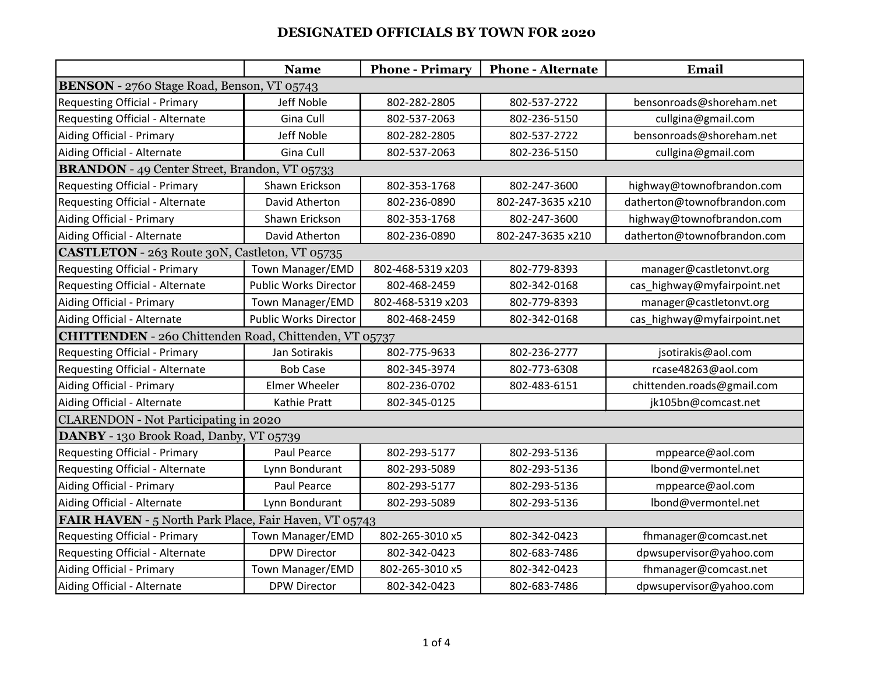|                                                        | <b>Name</b>                  | <b>Phone - Primary</b> | <b>Phone - Alternate</b> | Email                       |  |  |  |
|--------------------------------------------------------|------------------------------|------------------------|--------------------------|-----------------------------|--|--|--|
| BENSON - 2760 Stage Road, Benson, VT 05743             |                              |                        |                          |                             |  |  |  |
| <b>Requesting Official - Primary</b>                   | Jeff Noble                   | 802-282-2805           | 802-537-2722             | bensonroads@shoreham.net    |  |  |  |
| Requesting Official - Alternate                        | Gina Cull                    | 802-537-2063           | 802-236-5150             | cullgina@gmail.com          |  |  |  |
| Aiding Official - Primary                              | Jeff Noble                   | 802-282-2805           | 802-537-2722             | bensonroads@shoreham.net    |  |  |  |
| Aiding Official - Alternate                            | Gina Cull                    | 802-537-2063           | 802-236-5150             | cullgina@gmail.com          |  |  |  |
| <b>BRANDON</b> - 49 Center Street, Brandon, VT 05733   |                              |                        |                          |                             |  |  |  |
| <b>Requesting Official - Primary</b>                   | Shawn Erickson               | 802-353-1768           | 802-247-3600             | highway@townofbrandon.com   |  |  |  |
| Requesting Official - Alternate                        | David Atherton               | 802-236-0890           | 802-247-3635 x210        | datherton@townofbrandon.com |  |  |  |
| Aiding Official - Primary                              | Shawn Erickson               | 802-353-1768           | 802-247-3600             | highway@townofbrandon.com   |  |  |  |
| Aiding Official - Alternate                            | David Atherton               | 802-236-0890           | 802-247-3635 x210        | datherton@townofbrandon.com |  |  |  |
| <b>CASTLETON</b> - 263 Route 30N, Castleton, VT 05735  |                              |                        |                          |                             |  |  |  |
| <b>Requesting Official - Primary</b>                   | Town Manager/EMD             | 802-468-5319 x203      | 802-779-8393             | manager@castletonvt.org     |  |  |  |
| Requesting Official - Alternate                        | <b>Public Works Director</b> | 802-468-2459           | 802-342-0168             | cas_highway@myfairpoint.net |  |  |  |
| Aiding Official - Primary                              | Town Manager/EMD             | 802-468-5319 x203      | 802-779-8393             | manager@castletonvt.org     |  |  |  |
| Aiding Official - Alternate                            | <b>Public Works Director</b> | 802-468-2459           | 802-342-0168             | cas_highway@myfairpoint.net |  |  |  |
| CHITTENDEN - 260 Chittenden Road, Chittenden, VT 05737 |                              |                        |                          |                             |  |  |  |
| <b>Requesting Official - Primary</b>                   | Jan Sotirakis                | 802-775-9633           | 802-236-2777             | jsotirakis@aol.com          |  |  |  |
| Requesting Official - Alternate                        | <b>Bob Case</b>              | 802-345-3974           | 802-773-6308             | rcase48263@aol.com          |  |  |  |
| Aiding Official - Primary                              | Elmer Wheeler                | 802-236-0702           | 802-483-6151             | chittenden.roads@gmail.com  |  |  |  |
| Aiding Official - Alternate                            | Kathie Pratt                 | 802-345-0125           |                          | jk105bn@comcast.net         |  |  |  |
| <b>CLARENDON - Not Participating in 2020</b>           |                              |                        |                          |                             |  |  |  |
| DANBY - 130 Brook Road, Danby, VT 05739                |                              |                        |                          |                             |  |  |  |
| <b>Requesting Official - Primary</b>                   | Paul Pearce                  | 802-293-5177           | 802-293-5136             | mppearce@aol.com            |  |  |  |
| Requesting Official - Alternate                        | Lynn Bondurant               | 802-293-5089           | 802-293-5136             | lbond@vermontel.net         |  |  |  |
| Aiding Official - Primary                              | Paul Pearce                  | 802-293-5177           | 802-293-5136             | mppearce@aol.com            |  |  |  |
| Aiding Official - Alternate                            | Lynn Bondurant               | 802-293-5089           | 802-293-5136             | lbond@vermontel.net         |  |  |  |
| FAIR HAVEN - 5 North Park Place, Fair Haven, VT 05743  |                              |                        |                          |                             |  |  |  |
| <b>Requesting Official - Primary</b>                   | Town Manager/EMD             | 802-265-3010 x5        | 802-342-0423             | fhmanager@comcast.net       |  |  |  |
| Requesting Official - Alternate                        | <b>DPW Director</b>          | 802-342-0423           | 802-683-7486             | dpwsupervisor@yahoo.com     |  |  |  |
| Aiding Official - Primary                              | Town Manager/EMD             | 802-265-3010 x5        | 802-342-0423             | fhmanager@comcast.net       |  |  |  |
| Aiding Official - Alternate                            | <b>DPW Director</b>          | 802-342-0423           | 802-683-7486             | dpwsupervisor@yahoo.com     |  |  |  |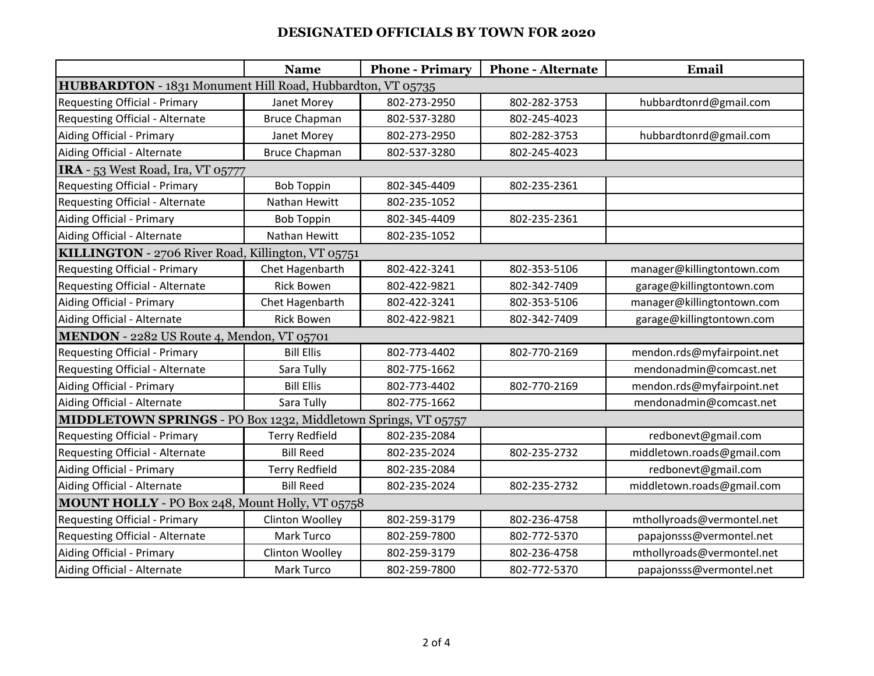|                                                                | <b>Name</b>                                                | <b>Phone - Primary</b> | <b>Phone - Alternate</b> | <b>Email</b>               |  |  |  |  |
|----------------------------------------------------------------|------------------------------------------------------------|------------------------|--------------------------|----------------------------|--|--|--|--|
|                                                                | HUBBARDTON - 1831 Monument Hill Road, Hubbardton, VT 05735 |                        |                          |                            |  |  |  |  |
| <b>Requesting Official - Primary</b>                           | Janet Morey                                                | 802-273-2950           | 802-282-3753             | hubbardtonrd@gmail.com     |  |  |  |  |
| Requesting Official - Alternate                                | <b>Bruce Chapman</b>                                       | 802-537-3280           | 802-245-4023             |                            |  |  |  |  |
| Aiding Official - Primary                                      | Janet Morey                                                | 802-273-2950           | 802-282-3753             | hubbardtonrd@gmail.com     |  |  |  |  |
| Aiding Official - Alternate                                    | <b>Bruce Chapman</b>                                       | 802-537-3280           | 802-245-4023             |                            |  |  |  |  |
| IRA - 53 West Road, Ira, VT 05777                              |                                                            |                        |                          |                            |  |  |  |  |
| <b>Requesting Official - Primary</b>                           | <b>Bob Toppin</b>                                          | 802-345-4409           | 802-235-2361             |                            |  |  |  |  |
| Requesting Official - Alternate                                | Nathan Hewitt                                              | 802-235-1052           |                          |                            |  |  |  |  |
| Aiding Official - Primary                                      | <b>Bob Toppin</b>                                          | 802-345-4409           | 802-235-2361             |                            |  |  |  |  |
| Aiding Official - Alternate                                    | Nathan Hewitt                                              | 802-235-1052           |                          |                            |  |  |  |  |
| KILLINGTON - 2706 River Road, Killington, VT 05751             |                                                            |                        |                          |                            |  |  |  |  |
| <b>Requesting Official - Primary</b>                           | Chet Hagenbarth                                            | 802-422-3241           | 802-353-5106             | manager@killingtontown.com |  |  |  |  |
| Requesting Official - Alternate                                | <b>Rick Bowen</b>                                          | 802-422-9821           | 802-342-7409             | garage@killingtontown.com  |  |  |  |  |
| Aiding Official - Primary                                      | Chet Hagenbarth                                            | 802-422-3241           | 802-353-5106             | manager@killingtontown.com |  |  |  |  |
| Aiding Official - Alternate                                    | <b>Rick Bowen</b>                                          | 802-422-9821           | 802-342-7409             | garage@killingtontown.com  |  |  |  |  |
| MENDON - 2282 US Route 4, Mendon, VT 05701                     |                                                            |                        |                          |                            |  |  |  |  |
| <b>Requesting Official - Primary</b>                           | <b>Bill Ellis</b>                                          | 802-773-4402           | 802-770-2169             | mendon.rds@myfairpoint.net |  |  |  |  |
| Requesting Official - Alternate                                | Sara Tully                                                 | 802-775-1662           |                          | mendonadmin@comcast.net    |  |  |  |  |
| Aiding Official - Primary                                      | <b>Bill Ellis</b>                                          | 802-773-4402           | 802-770-2169             | mendon.rds@myfairpoint.net |  |  |  |  |
| Aiding Official - Alternate                                    | Sara Tully                                                 | 802-775-1662           |                          | mendonadmin@comcast.net    |  |  |  |  |
| MIDDLETOWN SPRINGS - PO Box 1232, Middletown Springs, VT 05757 |                                                            |                        |                          |                            |  |  |  |  |
| <b>Requesting Official - Primary</b>                           | <b>Terry Redfield</b>                                      | 802-235-2084           |                          | redbonevt@gmail.com        |  |  |  |  |
| Requesting Official - Alternate                                | <b>Bill Reed</b>                                           | 802-235-2024           | 802-235-2732             | middletown.roads@gmail.com |  |  |  |  |
| Aiding Official - Primary                                      | <b>Terry Redfield</b>                                      | 802-235-2084           |                          | redbonevt@gmail.com        |  |  |  |  |
| Aiding Official - Alternate                                    | <b>Bill Reed</b>                                           | 802-235-2024           | 802-235-2732             | middletown.roads@gmail.com |  |  |  |  |
| MOUNT HOLLY - PO Box 248, Mount Holly, VT 05758                |                                                            |                        |                          |                            |  |  |  |  |
| <b>Requesting Official - Primary</b>                           | Clinton Woolley                                            | 802-259-3179           | 802-236-4758             | mthollyroads@vermontel.net |  |  |  |  |
| Requesting Official - Alternate                                | Mark Turco                                                 | 802-259-7800           | 802-772-5370             | papajonsss@vermontel.net   |  |  |  |  |
| Aiding Official - Primary                                      | Clinton Woolley                                            | 802-259-3179           | 802-236-4758             | mthollyroads@vermontel.net |  |  |  |  |
| Aiding Official - Alternate                                    | Mark Turco                                                 | 802-259-7800           | 802-772-5370             | papajonsss@vermontel.net   |  |  |  |  |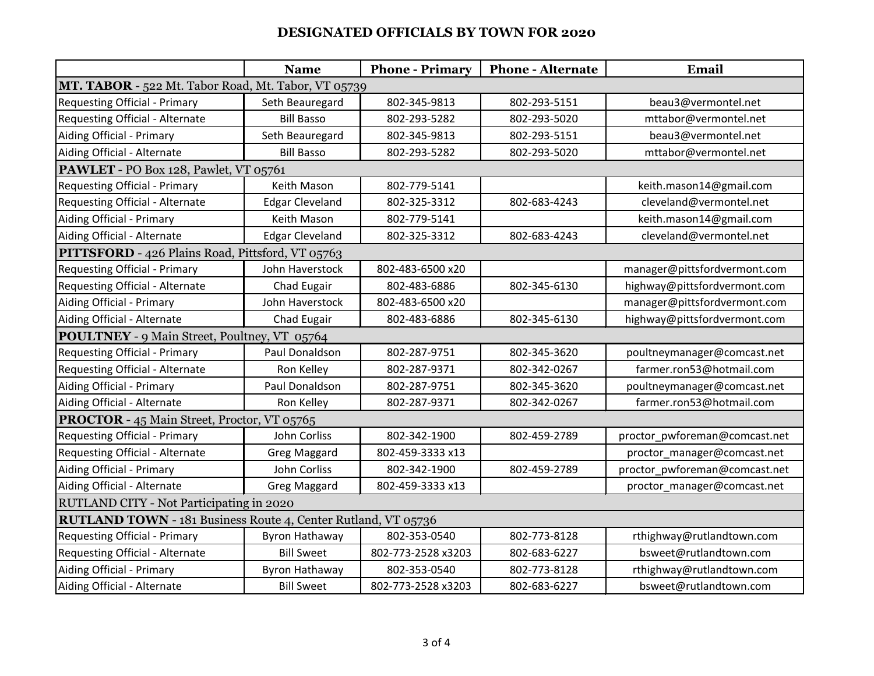|                                                               | <b>Name</b>                                         | <b>Phone - Primary</b> | <b>Phone - Alternate</b> | Email                         |  |  |  |  |
|---------------------------------------------------------------|-----------------------------------------------------|------------------------|--------------------------|-------------------------------|--|--|--|--|
|                                                               | MT. TABOR - 522 Mt. Tabor Road, Mt. Tabor, VT 05739 |                        |                          |                               |  |  |  |  |
| <b>Requesting Official - Primary</b>                          | Seth Beauregard                                     | 802-345-9813           | 802-293-5151             | beau3@vermontel.net           |  |  |  |  |
| Requesting Official - Alternate                               | <b>Bill Basso</b>                                   | 802-293-5282           | 802-293-5020             | mttabor@vermontel.net         |  |  |  |  |
| Aiding Official - Primary                                     | Seth Beauregard                                     | 802-345-9813           | 802-293-5151             | beau3@vermontel.net           |  |  |  |  |
| Aiding Official - Alternate                                   | <b>Bill Basso</b>                                   | 802-293-5282           | 802-293-5020             | mttabor@vermontel.net         |  |  |  |  |
| PAWLET - PO Box 128, Pawlet, VT 05761                         |                                                     |                        |                          |                               |  |  |  |  |
| <b>Requesting Official - Primary</b>                          | Keith Mason                                         | 802-779-5141           |                          | keith.mason14@gmail.com       |  |  |  |  |
| Requesting Official - Alternate                               | <b>Edgar Cleveland</b>                              | 802-325-3312           | 802-683-4243             | cleveland@vermontel.net       |  |  |  |  |
| Aiding Official - Primary                                     | Keith Mason                                         | 802-779-5141           |                          | keith.mason14@gmail.com       |  |  |  |  |
| Aiding Official - Alternate                                   | <b>Edgar Cleveland</b>                              | 802-325-3312           | 802-683-4243             | cleveland@vermontel.net       |  |  |  |  |
| PITTSFORD - 426 Plains Road, Pittsford, VT 05763              |                                                     |                        |                          |                               |  |  |  |  |
| <b>Requesting Official - Primary</b>                          | John Haverstock                                     | 802-483-6500 x20       |                          | manager@pittsfordvermont.com  |  |  |  |  |
| Requesting Official - Alternate                               | Chad Eugair                                         | 802-483-6886           | 802-345-6130             | highway@pittsfordvermont.com  |  |  |  |  |
| Aiding Official - Primary                                     | John Haverstock                                     | 802-483-6500 x20       |                          | manager@pittsfordvermont.com  |  |  |  |  |
| Aiding Official - Alternate                                   | Chad Eugair                                         | 802-483-6886           | 802-345-6130             | highway@pittsfordvermont.com  |  |  |  |  |
| POULTNEY - 9 Main Street, Poultney, VT 05764                  |                                                     |                        |                          |                               |  |  |  |  |
| <b>Requesting Official - Primary</b>                          | Paul Donaldson                                      | 802-287-9751           | 802-345-3620             | poultneymanager@comcast.net   |  |  |  |  |
| Requesting Official - Alternate                               | Ron Kelley                                          | 802-287-9371           | 802-342-0267             | farmer.ron53@hotmail.com      |  |  |  |  |
| Aiding Official - Primary                                     | Paul Donaldson                                      | 802-287-9751           | 802-345-3620             | poultneymanager@comcast.net   |  |  |  |  |
| Aiding Official - Alternate                                   | Ron Kelley                                          | 802-287-9371           | 802-342-0267             | farmer.ron53@hotmail.com      |  |  |  |  |
| <b>PROCTOR</b> - 45 Main Street, Proctor, VT 05765            |                                                     |                        |                          |                               |  |  |  |  |
| Requesting Official - Primary                                 | John Corliss                                        | 802-342-1900           | 802-459-2789             | proctor_pwforeman@comcast.net |  |  |  |  |
| Requesting Official - Alternate                               | <b>Greg Maggard</b>                                 | 802-459-3333 x13       |                          | proctor_manager@comcast.net   |  |  |  |  |
| Aiding Official - Primary                                     | John Corliss                                        | 802-342-1900           | 802-459-2789             | proctor_pwforeman@comcast.net |  |  |  |  |
| Aiding Official - Alternate                                   | <b>Greg Maggard</b>                                 | 802-459-3333 x13       |                          | proctor_manager@comcast.net   |  |  |  |  |
| RUTLAND CITY - Not Participating in 2020                      |                                                     |                        |                          |                               |  |  |  |  |
| RUTLAND TOWN - 181 Business Route 4, Center Rutland, VT 05736 |                                                     |                        |                          |                               |  |  |  |  |
| <b>Requesting Official - Primary</b>                          | <b>Byron Hathaway</b>                               | 802-353-0540           | 802-773-8128             | rthighway@rutlandtown.com     |  |  |  |  |
| Requesting Official - Alternate                               | <b>Bill Sweet</b>                                   | 802-773-2528 x3203     | 802-683-6227             | bsweet@rutlandtown.com        |  |  |  |  |
| Aiding Official - Primary                                     | Byron Hathaway                                      | 802-353-0540           | 802-773-8128             | rthighway@rutlandtown.com     |  |  |  |  |
| Aiding Official - Alternate                                   | <b>Bill Sweet</b>                                   | 802-773-2528 x3203     | 802-683-6227             | bsweet@rutlandtown.com        |  |  |  |  |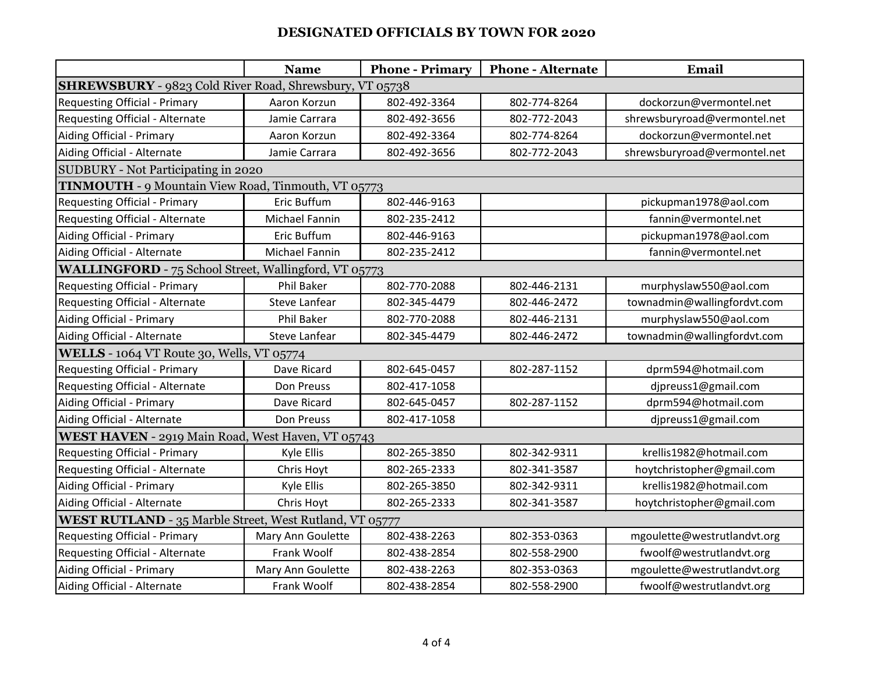|                                                         | <b>Name</b>       | <b>Phone - Primary</b> | <b>Phone - Alternate</b> | Email                        |  |  |  |
|---------------------------------------------------------|-------------------|------------------------|--------------------------|------------------------------|--|--|--|
| SHREWSBURY - 9823 Cold River Road, Shrewsbury, VT 05738 |                   |                        |                          |                              |  |  |  |
| <b>Requesting Official - Primary</b>                    | Aaron Korzun      | 802-492-3364           | 802-774-8264             | dockorzun@vermontel.net      |  |  |  |
| Requesting Official - Alternate                         | Jamie Carrara     | 802-492-3656           | 802-772-2043             | shrewsburyroad@vermontel.net |  |  |  |
| Aiding Official - Primary                               | Aaron Korzun      | 802-492-3364           | 802-774-8264             | dockorzun@vermontel.net      |  |  |  |
| Aiding Official - Alternate                             | Jamie Carrara     | 802-492-3656           | 802-772-2043             | shrewsburyroad@vermontel.net |  |  |  |
| SUDBURY - Not Participating in 2020                     |                   |                        |                          |                              |  |  |  |
| TINMOUTH - 9 Mountain View Road, Tinmouth, VT 05773     |                   |                        |                          |                              |  |  |  |
| <b>Requesting Official - Primary</b>                    | Eric Buffum       | 802-446-9163           |                          | pickupman1978@aol.com        |  |  |  |
| Requesting Official - Alternate                         | Michael Fannin    | 802-235-2412           |                          | fannin@vermontel.net         |  |  |  |
| Aiding Official - Primary                               | Eric Buffum       | 802-446-9163           |                          | pickupman1978@aol.com        |  |  |  |
| Aiding Official - Alternate                             | Michael Fannin    | 802-235-2412           |                          | fannin@vermontel.net         |  |  |  |
| WALLINGFORD - 75 School Street, Wallingford, VT 05773   |                   |                        |                          |                              |  |  |  |
| <b>Requesting Official - Primary</b>                    | Phil Baker        | 802-770-2088           | 802-446-2131             | murphyslaw550@aol.com        |  |  |  |
| Requesting Official - Alternate                         | Steve Lanfear     | 802-345-4479           | 802-446-2472             | townadmin@wallingfordvt.com  |  |  |  |
| Aiding Official - Primary                               | Phil Baker        | 802-770-2088           | 802-446-2131             | murphyslaw550@aol.com        |  |  |  |
| Aiding Official - Alternate                             | Steve Lanfear     | 802-345-4479           | 802-446-2472             | townadmin@wallingfordvt.com  |  |  |  |
| WELLS - 1064 VT Route 30, Wells, VT 05774               |                   |                        |                          |                              |  |  |  |
| <b>Requesting Official - Primary</b>                    | Dave Ricard       | 802-645-0457           | 802-287-1152             | dprm594@hotmail.com          |  |  |  |
| Requesting Official - Alternate                         | Don Preuss        | 802-417-1058           |                          | djpreuss1@gmail.com          |  |  |  |
| Aiding Official - Primary                               | Dave Ricard       | 802-645-0457           | 802-287-1152             | dprm594@hotmail.com          |  |  |  |
| Aiding Official - Alternate                             | Don Preuss        | 802-417-1058           |                          | djpreuss1@gmail.com          |  |  |  |
| WEST HAVEN - 2919 Main Road, West Haven, VT 05743       |                   |                        |                          |                              |  |  |  |
| <b>Requesting Official - Primary</b>                    | Kyle Ellis        | 802-265-3850           | 802-342-9311             | krellis1982@hotmail.com      |  |  |  |
| Requesting Official - Alternate                         | Chris Hoyt        | 802-265-2333           | 802-341-3587             | hoytchristopher@gmail.com    |  |  |  |
| Aiding Official - Primary                               | Kyle Ellis        | 802-265-3850           | 802-342-9311             | krellis1982@hotmail.com      |  |  |  |
| Aiding Official - Alternate                             | Chris Hoyt        | 802-265-2333           | 802-341-3587             | hoytchristopher@gmail.com    |  |  |  |
| WEST RUTLAND - 35 Marble Street, West Rutland, VT 05777 |                   |                        |                          |                              |  |  |  |
| <b>Requesting Official - Primary</b>                    | Mary Ann Goulette | 802-438-2263           | 802-353-0363             | mgoulette@westrutlandvt.org  |  |  |  |
| Requesting Official - Alternate                         | Frank Woolf       | 802-438-2854           | 802-558-2900             | fwoolf@westrutlandvt.org     |  |  |  |
| Aiding Official - Primary                               | Mary Ann Goulette | 802-438-2263           | 802-353-0363             | mgoulette@westrutlandvt.org  |  |  |  |
| Aiding Official - Alternate                             | Frank Woolf       | 802-438-2854           | 802-558-2900             | fwoolf@westrutlandvt.org     |  |  |  |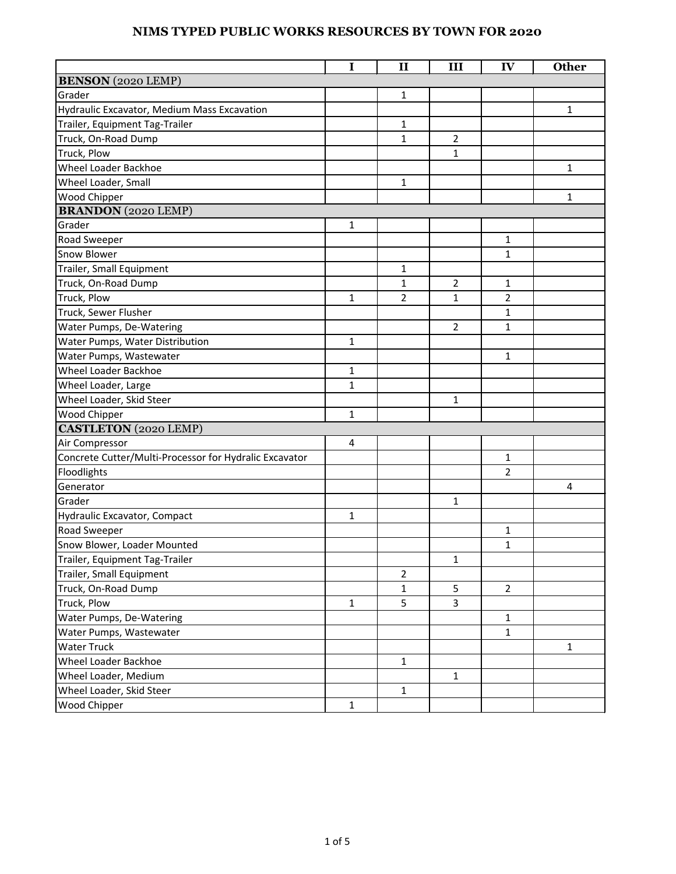|                                                        | I              | $\mathbf{I}$   | III            | IV             | <b>Other</b> |
|--------------------------------------------------------|----------------|----------------|----------------|----------------|--------------|
| <b>BENSON</b> (2020 LEMP)                              |                |                |                |                |              |
| Grader                                                 |                | 1              |                |                |              |
| Hydraulic Excavator, Medium Mass Excavation            |                |                |                |                | 1            |
| Trailer, Equipment Tag-Trailer                         |                | $\mathbf{1}$   |                |                |              |
| Truck, On-Road Dump                                    |                | $\mathbf{1}$   | $\overline{2}$ |                |              |
| Truck, Plow                                            |                |                | $\mathbf{1}$   |                |              |
| Wheel Loader Backhoe                                   |                |                |                |                | $\mathbf{1}$ |
| Wheel Loader, Small                                    |                | 1              |                |                |              |
| Wood Chipper                                           |                |                |                |                | 1            |
| <b>BRANDON</b> (2020 LEMP)                             |                |                |                |                |              |
| Grader                                                 | $\mathbf{1}$   |                |                |                |              |
| Road Sweeper                                           |                |                |                | $\mathbf{1}$   |              |
| Snow Blower                                            |                |                |                | $\mathbf{1}$   |              |
| Trailer, Small Equipment                               |                | 1              |                |                |              |
| Truck, On-Road Dump                                    |                | 1              | $\overline{2}$ | $\mathbf{1}$   |              |
| Truck, Plow                                            | $\mathbf{1}$   | 2              | $\mathbf{1}$   | $\overline{2}$ |              |
| Truck, Sewer Flusher                                   |                |                |                | $\mathbf{1}$   |              |
| Water Pumps, De-Watering                               |                |                | 2              | $\mathbf{1}$   |              |
| Water Pumps, Water Distribution                        | $\mathbf{1}$   |                |                |                |              |
| Water Pumps, Wastewater                                |                |                |                | $\mathbf{1}$   |              |
| <b>Wheel Loader Backhoe</b>                            | $\mathbf{1}$   |                |                |                |              |
| Wheel Loader, Large                                    | $\mathbf{1}$   |                |                |                |              |
| Wheel Loader, Skid Steer                               |                |                | $\mathbf{1}$   |                |              |
| Wood Chipper                                           | 1              |                |                |                |              |
| <b>CASTLETON</b> (2020 LEMP)                           |                |                |                |                |              |
| Air Compressor                                         | $\overline{4}$ |                |                |                |              |
| Concrete Cutter/Multi-Processor for Hydralic Excavator |                |                |                | $\mathbf{1}$   |              |
| Floodlights                                            |                |                |                | 2              |              |
| Generator                                              |                |                |                |                | 4            |
| Grader                                                 |                |                | $\mathbf{1}$   |                |              |
| <b>Hydraulic Excavator, Compact</b>                    | $\mathbf{1}$   |                |                |                |              |
| Road Sweeper                                           |                |                |                | $\mathbf{1}$   |              |
| Snow Blower, Loader Mounted                            |                |                |                | $\mathbf{1}$   |              |
| Trailer, Equipment Tag-Trailer                         |                |                | $\mathbf{1}$   |                |              |
| Trailer, Small Equipment                               |                | $\overline{2}$ |                |                |              |
| Truck, On-Road Dump                                    |                | $\mathbf{1}$   | 5              | $\overline{2}$ |              |
| Truck, Plow                                            | $\mathbf{1}$   | 5              | 3              |                |              |
| Water Pumps, De-Watering                               |                |                |                | $\mathbf{1}$   |              |
| Water Pumps, Wastewater                                |                |                |                | $\mathbf{1}$   |              |
| <b>Water Truck</b>                                     |                |                |                |                | $\mathbf{1}$ |
| Wheel Loader Backhoe                                   |                | $\mathbf{1}$   |                |                |              |
| Wheel Loader, Medium                                   |                |                | 1              |                |              |
| Wheel Loader, Skid Steer                               |                | $\mathbf{1}$   |                |                |              |
| Wood Chipper                                           | $\mathbf{1}$   |                |                |                |              |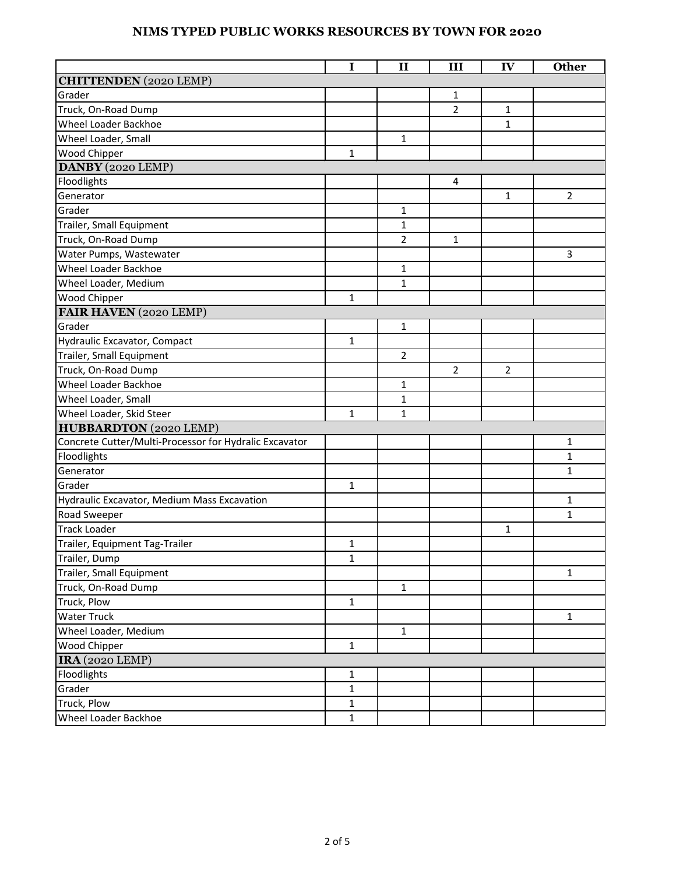|                                                        | I            | $\mathbf{I}$   | III            | IV             | <b>Other</b>   |
|--------------------------------------------------------|--------------|----------------|----------------|----------------|----------------|
| <b>CHITTENDEN</b> (2020 LEMP)                          |              |                |                |                |                |
| Grader                                                 |              |                | 1              |                |                |
| Truck, On-Road Dump                                    |              |                | $\overline{2}$ | $\mathbf{1}$   |                |
| Wheel Loader Backhoe                                   |              |                |                | $\mathbf{1}$   |                |
| Wheel Loader, Small                                    |              | $\mathbf{1}$   |                |                |                |
| Wood Chipper                                           | $\mathbf{1}$ |                |                |                |                |
| DANBY (2020 LEMP)                                      |              |                |                |                |                |
| Floodlights                                            |              |                | 4              |                |                |
| Generator                                              |              |                |                | $\mathbf{1}$   | $\overline{2}$ |
| Grader                                                 |              | 1              |                |                |                |
| Trailer, Small Equipment                               |              | 1              |                |                |                |
| Truck, On-Road Dump                                    |              | $\overline{2}$ | $\mathbf{1}$   |                |                |
| Water Pumps, Wastewater                                |              |                |                |                | 3              |
| Wheel Loader Backhoe                                   |              | $\mathbf{1}$   |                |                |                |
| Wheel Loader, Medium                                   |              | 1              |                |                |                |
| Wood Chipper                                           | $\mathbf{1}$ |                |                |                |                |
| FAIR HAVEN (2020 LEMP)                                 |              |                |                |                |                |
| Grader                                                 |              | $\mathbf{1}$   |                |                |                |
| Hydraulic Excavator, Compact                           | $\mathbf{1}$ |                |                |                |                |
| Trailer, Small Equipment                               |              | $\overline{2}$ |                |                |                |
| Truck, On-Road Dump                                    |              |                | $\overline{2}$ | $\overline{2}$ |                |
| Wheel Loader Backhoe                                   |              | $\mathbf{1}$   |                |                |                |
| Wheel Loader, Small                                    |              | 1              |                |                |                |
| Wheel Loader, Skid Steer                               | $\mathbf{1}$ | $\mathbf{1}$   |                |                |                |
| <b>HUBBARDTON</b> (2020 LEMP)                          |              |                |                |                |                |
| Concrete Cutter/Multi-Processor for Hydralic Excavator |              |                |                |                | $\mathbf{1}$   |
| Floodlights                                            |              |                |                |                | 1              |
| Generator                                              |              |                |                |                | 1              |
| Grader                                                 | $\mathbf{1}$ |                |                |                |                |
| Hydraulic Excavator, Medium Mass Excavation            |              |                |                |                | 1              |
| Road Sweeper                                           |              |                |                |                | 1              |
| <b>Track Loader</b>                                    |              |                |                | $\mathbf{1}$   |                |
| Trailer, Equipment Tag-Trailer                         | $\mathbf{1}$ |                |                |                |                |
| Trailer, Dump                                          | $\mathbf{1}$ |                |                |                |                |
| Trailer, Small Equipment                               |              |                |                |                | $\mathbf{1}$   |
| Truck, On-Road Dump                                    |              | $\mathbf{1}$   |                |                |                |
| Truck, Plow                                            | $\mathbf{1}$ |                |                |                |                |
| <b>Water Truck</b>                                     |              |                |                |                | $\mathbf{1}$   |
| Wheel Loader, Medium                                   |              | $\mathbf{1}$   |                |                |                |
| <b>Wood Chipper</b>                                    | $\mathbf{1}$ |                |                |                |                |
| <b>IRA</b> (2020 LEMP)                                 |              |                |                |                |                |
| Floodlights                                            | $\mathbf{1}$ |                |                |                |                |
| Grader                                                 | $\mathbf{1}$ |                |                |                |                |
| Truck, Plow                                            | $\mathbf{1}$ |                |                |                |                |
| Wheel Loader Backhoe                                   | $\mathbf{1}$ |                |                |                |                |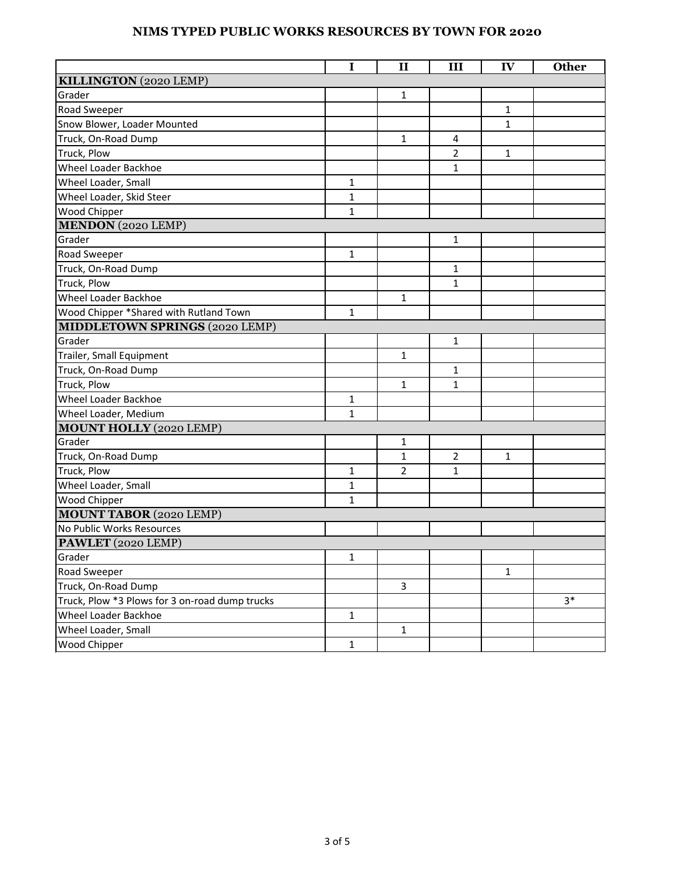|                                                | $\mathbf I$  | $\mathbf{I}$   | III          | IV           | <b>Other</b> |
|------------------------------------------------|--------------|----------------|--------------|--------------|--------------|
| KILLINGTON (2020 LEMP)                         |              |                |              |              |              |
| Grader                                         |              | $\mathbf{1}$   |              |              |              |
| Road Sweeper                                   |              |                |              | 1            |              |
| Snow Blower, Loader Mounted                    |              |                |              | $\mathbf{1}$ |              |
| Truck, On-Road Dump                            |              | $\mathbf{1}$   | 4            |              |              |
| Truck, Plow                                    |              |                | 2            | $\mathbf{1}$ |              |
| Wheel Loader Backhoe                           |              |                | $\mathbf{1}$ |              |              |
| Wheel Loader, Small                            | $\mathbf{1}$ |                |              |              |              |
| Wheel Loader, Skid Steer                       | $\mathbf{1}$ |                |              |              |              |
| Wood Chipper                                   | $\mathbf{1}$ |                |              |              |              |
| <b>MENDON</b> (2020 LEMP)                      |              |                |              |              |              |
| Grader                                         |              |                | 1            |              |              |
| Road Sweeper                                   | $\mathbf{1}$ |                |              |              |              |
| Truck, On-Road Dump                            |              |                | $\mathbf{1}$ |              |              |
| Truck, Plow                                    |              |                | $\mathbf{1}$ |              |              |
| Wheel Loader Backhoe                           |              | 1              |              |              |              |
| Wood Chipper *Shared with Rutland Town         | $\mathbf{1}$ |                |              |              |              |
| <b>MIDDLETOWN SPRINGS (2020 LEMP)</b>          |              |                |              |              |              |
| Grader                                         |              |                | $\mathbf{1}$ |              |              |
| Trailer, Small Equipment                       |              | $\mathbf{1}$   |              |              |              |
| Truck, On-Road Dump                            |              |                | $\mathbf{1}$ |              |              |
| Truck, Plow                                    |              | $\mathbf{1}$   | $\mathbf{1}$ |              |              |
| Wheel Loader Backhoe                           | $\mathbf{1}$ |                |              |              |              |
| Wheel Loader, Medium                           | $\mathbf{1}$ |                |              |              |              |
| <b>MOUNT HOLLY (2020 LEMP)</b>                 |              |                |              |              |              |
| Grader                                         |              | $\mathbf{1}$   |              |              |              |
| Truck, On-Road Dump                            |              | 1              | 2            | 1            |              |
| Truck, Plow                                    | $\mathbf{1}$ | $\overline{2}$ | $\mathbf{1}$ |              |              |
| Wheel Loader, Small                            | $\mathbf{1}$ |                |              |              |              |
| Wood Chipper                                   | $\mathbf{1}$ |                |              |              |              |
| <b>MOUNT TABOR</b> (2020 LEMP)                 |              |                |              |              |              |
| No Public Works Resources                      |              |                |              |              |              |
| PAWLET (2020 LEMP)                             |              |                |              |              |              |
| Grader                                         | $\mathbf{1}$ |                |              |              |              |
| Road Sweeper                                   |              |                |              | $\mathbf{1}$ |              |
| Truck, On-Road Dump                            |              | $\overline{3}$ |              |              |              |
| Truck, Plow *3 Plows for 3 on-road dump trucks |              |                |              |              | $3*$         |
| Wheel Loader Backhoe                           | $\mathbf{1}$ |                |              |              |              |
| Wheel Loader, Small                            |              | $\mathbf{1}$   |              |              |              |
| Wood Chipper                                   | $\mathbf{1}$ |                |              |              |              |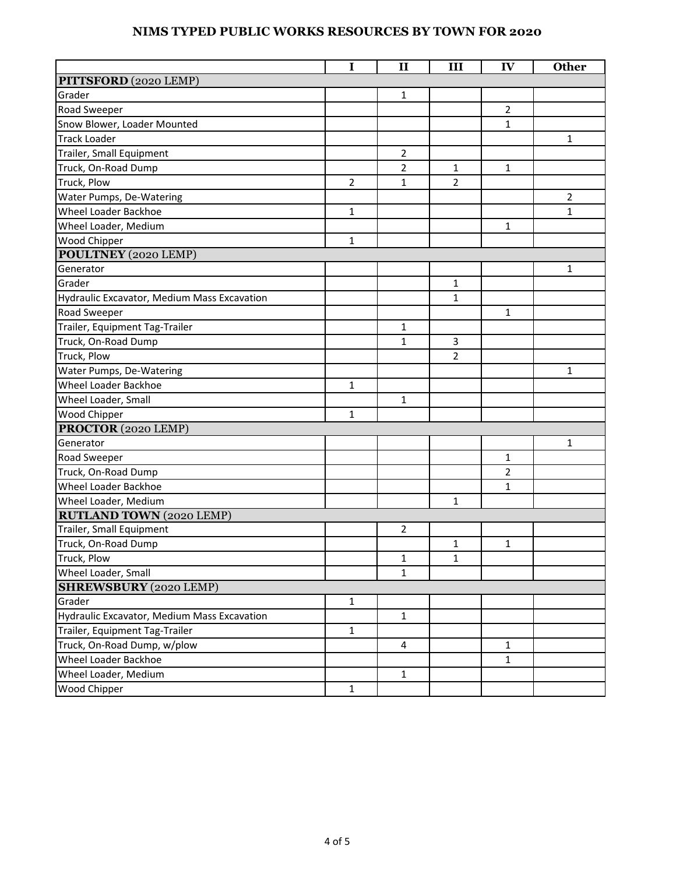|                                             | I              | $\mathbf{I}$   | III            | IV             | <b>Other</b>   |
|---------------------------------------------|----------------|----------------|----------------|----------------|----------------|
| PITTSFORD (2020 LEMP)                       |                |                |                |                |                |
| Grader                                      |                | 1              |                |                |                |
| Road Sweeper                                |                |                |                | $\overline{2}$ |                |
| Snow Blower, Loader Mounted                 |                |                |                | $\mathbf{1}$   |                |
| <b>Track Loader</b>                         |                |                |                |                | $\mathbf{1}$   |
| Trailer, Small Equipment                    |                | $\overline{2}$ |                |                |                |
| Truck, On-Road Dump                         |                | $\overline{2}$ | $\mathbf{1}$   | $\mathbf{1}$   |                |
| Truck, Plow                                 | $\overline{2}$ | $\mathbf{1}$   | 2              |                |                |
| Water Pumps, De-Watering                    |                |                |                |                | $\overline{2}$ |
| <b>Wheel Loader Backhoe</b>                 | $\mathbf{1}$   |                |                |                | 1              |
| Wheel Loader, Medium                        |                |                |                | $\mathbf{1}$   |                |
| Wood Chipper                                | $\mathbf{1}$   |                |                |                |                |
| POULTNEY (2020 LEMP)                        |                |                |                |                |                |
| Generator                                   |                |                |                |                | 1              |
| Grader                                      |                |                | $\mathbf{1}$   |                |                |
| Hydraulic Excavator, Medium Mass Excavation |                |                | 1              |                |                |
| Road Sweeper                                |                |                |                | 1              |                |
| Trailer, Equipment Tag-Trailer              |                | 1              |                |                |                |
| Truck, On-Road Dump                         |                | $\mathbf{1}$   | 3              |                |                |
| Truck, Plow                                 |                |                | $\overline{2}$ |                |                |
| Water Pumps, De-Watering                    |                |                |                |                | $\mathbf{1}$   |
| Wheel Loader Backhoe                        | $\mathbf{1}$   |                |                |                |                |
| Wheel Loader, Small                         |                | $\mathbf{1}$   |                |                |                |
| Wood Chipper                                | $\mathbf{1}$   |                |                |                |                |
| PROCTOR (2020 LEMP)                         |                |                |                |                |                |
| Generator                                   |                |                |                |                | $\mathbf{1}$   |
| Road Sweeper                                |                |                |                | 1              |                |
| Truck, On-Road Dump                         |                |                |                | $\overline{2}$ |                |
| Wheel Loader Backhoe                        |                |                |                | $\mathbf{1}$   |                |
| Wheel Loader, Medium                        |                |                | 1              |                |                |
| <b>RUTLAND TOWN (2020 LEMP)</b>             |                |                |                |                |                |
| Trailer, Small Equipment                    |                | 2              |                |                |                |
| Truck, On-Road Dump                         |                |                | $\mathbf{1}$   | $\mathbf{1}$   |                |
| Truck, Plow                                 |                | $\mathbf{1}$   | $\mathbf{1}$   |                |                |
| Wheel Loader, Small                         |                | $\mathbf{1}$   |                |                |                |
| <b>SHREWSBURY</b> (2020 LEMP)               |                |                |                |                |                |
| Grader                                      | $\mathbf{1}$   |                |                |                |                |
| Hydraulic Excavator, Medium Mass Excavation |                | $\mathbf{1}$   |                |                |                |
| Trailer, Equipment Tag-Trailer              | $\mathbf{1}$   |                |                |                |                |
| Truck, On-Road Dump, w/plow                 |                | 4              |                | 1              |                |
| Wheel Loader Backhoe                        |                |                |                | $\mathbf{1}$   |                |
| Wheel Loader, Medium                        |                | $\mathbf{1}$   |                |                |                |
| Wood Chipper                                | $\mathbf{1}$   |                |                |                |                |